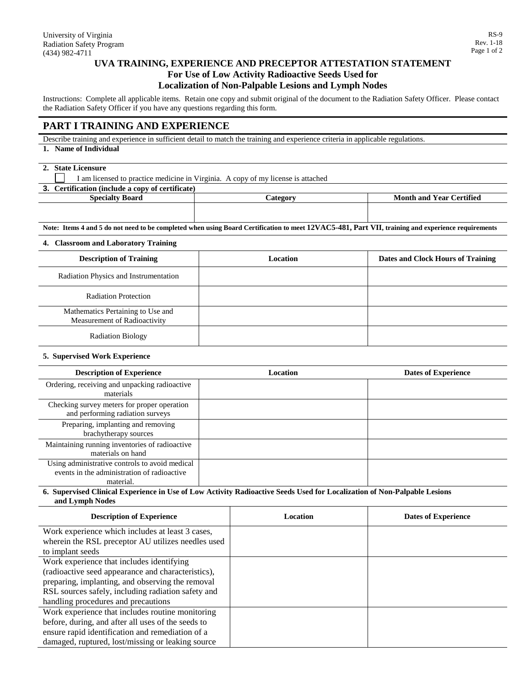# **UVA TRAINING, EXPERIENCE AND PRECEPTOR ATTESTATION STATEMENT For Use of Low Activity Radioactive Seeds Used for Localization of Non-Palpable Lesions and Lymph Nodes**

Instructions: Complete all applicable items. Retain one copy and submit original of the document to the Radiation Safety Officer. Please contact the Radiation Safety Officer if you have any questions regarding this form.

## **PART I TRAINING AND EXPERIENCE**

Describe training and experience in sufficient detail to match the training and experience criteria in applicable regulations.

**1. Name of Individual**

## **2. State Licensure**

I am licensed to practice medicine in Virginia. A copy of my license is attached

**3. Certification (include a copy of certificate)**

| אימה?<br>Snecialt<br>мин | $\alpha$ to $\alpha$ n | <b>Tertified</b><br>Month and<br>Y ear |
|--------------------------|------------------------|----------------------------------------|
|                          |                        |                                        |
|                          |                        |                                        |

**Note: Items 4 and 5 do not need to be completed when using Board Certification to meet 12VAC5-481, Part VII, training and experience requirements**

### **4. Classroom and Laboratory Training**

| <b>Description of Training</b>                                    | Location | Dates and Clock Hours of Training |
|-------------------------------------------------------------------|----------|-----------------------------------|
| Radiation Physics and Instrumentation                             |          |                                   |
| <b>Radiation Protection</b>                                       |          |                                   |
| Mathematics Pertaining to Use and<br>Measurement of Radioactivity |          |                                   |
| <b>Radiation Biology</b>                                          |          |                                   |

#### **5. Supervised Work Experience**

| <b>Description of Experience</b>                                                                           | Location | <b>Dates of Experience</b> |
|------------------------------------------------------------------------------------------------------------|----------|----------------------------|
| Ordering, receiving and unpacking radioactive<br>materials                                                 |          |                            |
| Checking survey meters for proper operation<br>and performing radiation surveys                            |          |                            |
| Preparing, implanting and removing<br>brachytherapy sources                                                |          |                            |
| Maintaining running inventories of radioactive<br>materials on hand                                        |          |                            |
| Using administrative controls to avoid medical<br>events in the administration of radioactive<br>material. |          |                            |

#### **6. Supervised Clinical Experience in Use of Low Activity Radioactive Seeds Used for Localization of Non-Palpable Lesions and Lymph Nodes**

| <b>Description of Experience</b>                   | Location | <b>Dates of Experience</b> |
|----------------------------------------------------|----------|----------------------------|
| Work experience which includes at least 3 cases,   |          |                            |
| wherein the RSL preceptor AU utilizes needles used |          |                            |
| to implant seeds                                   |          |                            |
| Work experience that includes identifying          |          |                            |
| (radioactive seed appearance and characteristics), |          |                            |
| preparing, implanting, and observing the removal   |          |                            |
| RSL sources safely, including radiation safety and |          |                            |
| handling procedures and precautions                |          |                            |
| Work experience that includes routine monitoring   |          |                            |
| before, during, and after all uses of the seeds to |          |                            |
| ensure rapid identification and remediation of a   |          |                            |
| damaged, ruptured, lost/missing or leaking source  |          |                            |